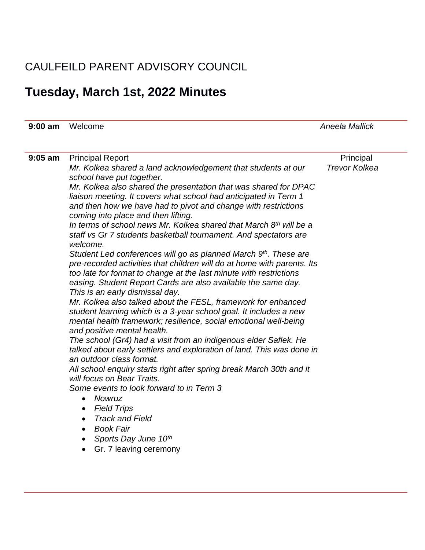## CAULFEILD PARENT ADVISORY COUNCIL

## **Tuesday, March 1st, 2022 Minutes**

| $9:00 \text{ am}$ | Welcome                                                                                                                                                                                                                                                                                                                                                                                                                                                                                                                                                                                                                                                                                                                                                                                                                                                                                                                                                                                                                                                                                                                                                                                                                                                                                                                                                                                                                                                                                                                                                                                                     | <b>Aneela Mallick</b>             |
|-------------------|-------------------------------------------------------------------------------------------------------------------------------------------------------------------------------------------------------------------------------------------------------------------------------------------------------------------------------------------------------------------------------------------------------------------------------------------------------------------------------------------------------------------------------------------------------------------------------------------------------------------------------------------------------------------------------------------------------------------------------------------------------------------------------------------------------------------------------------------------------------------------------------------------------------------------------------------------------------------------------------------------------------------------------------------------------------------------------------------------------------------------------------------------------------------------------------------------------------------------------------------------------------------------------------------------------------------------------------------------------------------------------------------------------------------------------------------------------------------------------------------------------------------------------------------------------------------------------------------------------------|-----------------------------------|
|                   |                                                                                                                                                                                                                                                                                                                                                                                                                                                                                                                                                                                                                                                                                                                                                                                                                                                                                                                                                                                                                                                                                                                                                                                                                                                                                                                                                                                                                                                                                                                                                                                                             |                                   |
| $9:05$ am         | <b>Principal Report</b><br>Mr. Kolkea shared a land acknowledgement that students at our<br>school have put together.<br>Mr. Kolkea also shared the presentation that was shared for DPAC<br>liaison meeting. It covers what school had anticipated in Term 1<br>and then how we have had to pivot and change with restrictions<br>coming into place and then lifting.<br>In terms of school news Mr. Kolkea shared that March 8 <sup>th</sup> will be a<br>staff vs Gr 7 students basketball tournament. And spectators are<br>welcome.<br>Student Led conferences will go as planned March 9th. These are<br>pre-recorded activities that children will do at home with parents. Its<br>too late for format to change at the last minute with restrictions<br>easing. Student Report Cards are also available the same day.<br>This is an early dismissal day.<br>Mr. Kolkea also talked about the FESL, framework for enhanced<br>student learning which is a 3-year school goal. It includes a new<br>mental health framework; resilience, social emotional well-being<br>and positive mental health.<br>The school (Gr4) had a visit from an indigenous elder Saflek. He<br>talked about early settlers and exploration of land. This was done in<br>an outdoor class format.<br>All school enquiry starts right after spring break March 30th and it<br>will focus on Bear Traits.<br>Some events to look forward to in Term 3<br>Nowruz<br>$\bullet$<br><b>Field Trips</b><br>$\bullet$<br><b>Track and Field</b><br>$\bullet$<br><b>Book Fair</b><br>$\bullet$<br>Sports Day June 10th<br>$\bullet$ | Principal<br><b>Trevor Kolkea</b> |
|                   | Gr. 7 leaving ceremony<br>$\bullet$                                                                                                                                                                                                                                                                                                                                                                                                                                                                                                                                                                                                                                                                                                                                                                                                                                                                                                                                                                                                                                                                                                                                                                                                                                                                                                                                                                                                                                                                                                                                                                         |                                   |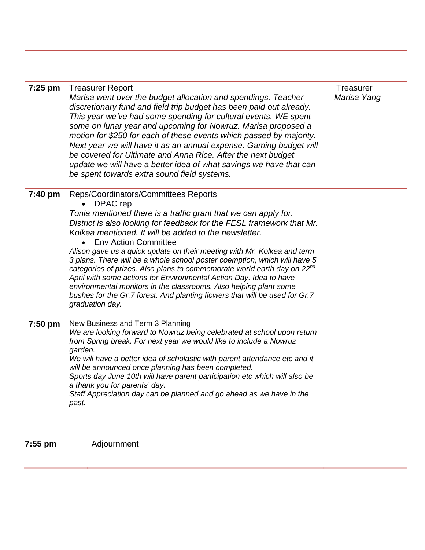| 7:25 pm | <b>Treasurer Report</b><br>Marisa went over the budget allocation and spendings. Teacher<br>discretionary fund and field trip budget has been paid out already.<br>This year we've had some spending for cultural events. WE spent<br>some on lunar year and upcoming for Nowruz. Marisa proposed a<br>motion for \$250 for each of these events which passed by majority.<br>Next year we will have it as an annual expense. Gaming budget will<br>be covered for Ultimate and Anna Rice. After the next budget<br>update we will have a better idea of what savings we have that can<br>be spent towards extra sound field systems.                                                                                                                                | <b>Treasurer</b><br>Marisa Yang |
|---------|----------------------------------------------------------------------------------------------------------------------------------------------------------------------------------------------------------------------------------------------------------------------------------------------------------------------------------------------------------------------------------------------------------------------------------------------------------------------------------------------------------------------------------------------------------------------------------------------------------------------------------------------------------------------------------------------------------------------------------------------------------------------|---------------------------------|
| 7:40 pm | Reps/Coordinators/Committees Reports<br>DPAC rep<br>Tonia mentioned there is a traffic grant that we can apply for.<br>District is also looking for feedback for the FESL framework that Mr.<br>Kolkea mentioned. It will be added to the newsletter.<br><b>Env Action Committee</b><br>Alison gave us a quick update on their meeting with Mr. Kolkea and term<br>3 plans. There will be a whole school poster coemption, which will have 5<br>categories of prizes. Also plans to commemorate world earth day on 22nd<br>April with some actions for Environmental Action Day. Idea to have<br>environmental monitors in the classrooms. Also helping plant some<br>bushes for the Gr.7 forest. And planting flowers that will be used for Gr.7<br>graduation day. |                                 |
| 7:50 pm | New Business and Term 3 Planning<br>We are looking forward to Nowruz being celebrated at school upon return<br>from Spring break. For next year we would like to include a Nowruz<br>garden.<br>We will have a better idea of scholastic with parent attendance etc and it<br>will be announced once planning has been completed.<br>Sports day June 10th will have parent participation etc which will also be<br>a thank you for parents' day.<br>Staff Appreciation day can be planned and go ahead as we have in the<br>past.                                                                                                                                                                                                                                    |                                 |

**7:55 pm** Adjournment